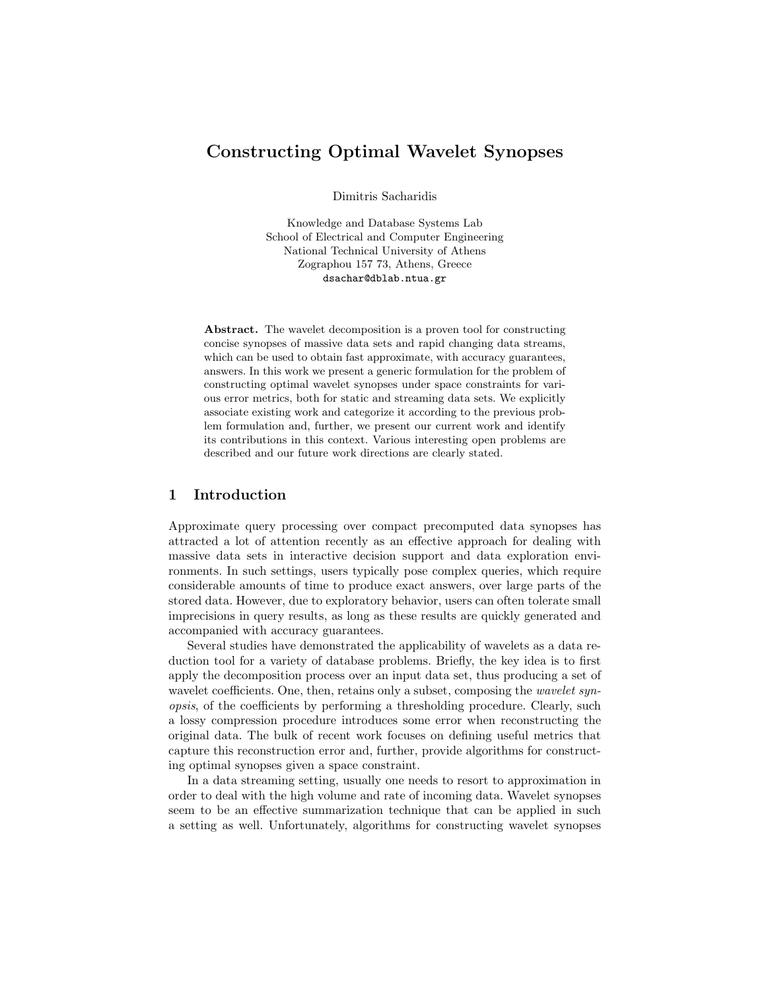# Constructing Optimal Wavelet Synopses

Dimitris Sacharidis

Knowledge and Database Systems Lab School of Electrical and Computer Engineering National Technical University of Athens Zographou 157 73, Athens, Greece dsachar@dblab.ntua.gr

Abstract. The wavelet decomposition is a proven tool for constructing concise synopses of massive data sets and rapid changing data streams, which can be used to obtain fast approximate, with accuracy guarantees, answers. In this work we present a generic formulation for the problem of constructing optimal wavelet synopses under space constraints for various error metrics, both for static and streaming data sets. We explicitly associate existing work and categorize it according to the previous problem formulation and, further, we present our current work and identify its contributions in this context. Various interesting open problems are described and our future work directions are clearly stated.

#### 1 Introduction

Approximate query processing over compact precomputed data synopses has attracted a lot of attention recently as an effective approach for dealing with massive data sets in interactive decision support and data exploration environments. In such settings, users typically pose complex queries, which require considerable amounts of time to produce exact answers, over large parts of the stored data. However, due to exploratory behavior, users can often tolerate small imprecisions in query results, as long as these results are quickly generated and accompanied with accuracy guarantees.

Several studies have demonstrated the applicability of wavelets as a data reduction tool for a variety of database problems. Briefly, the key idea is to first apply the decomposition process over an input data set, thus producing a set of wavelet coefficients. One, then, retains only a subset, composing the *wavelet syn*opsis, of the coefficients by performing a thresholding procedure. Clearly, such a lossy compression procedure introduces some error when reconstructing the original data. The bulk of recent work focuses on defining useful metrics that capture this reconstruction error and, further, provide algorithms for constructing optimal synopses given a space constraint.

In a data streaming setting, usually one needs to resort to approximation in order to deal with the high volume and rate of incoming data. Wavelet synopses seem to be an effective summarization technique that can be applied in such a setting as well. Unfortunately, algorithms for constructing wavelet synopses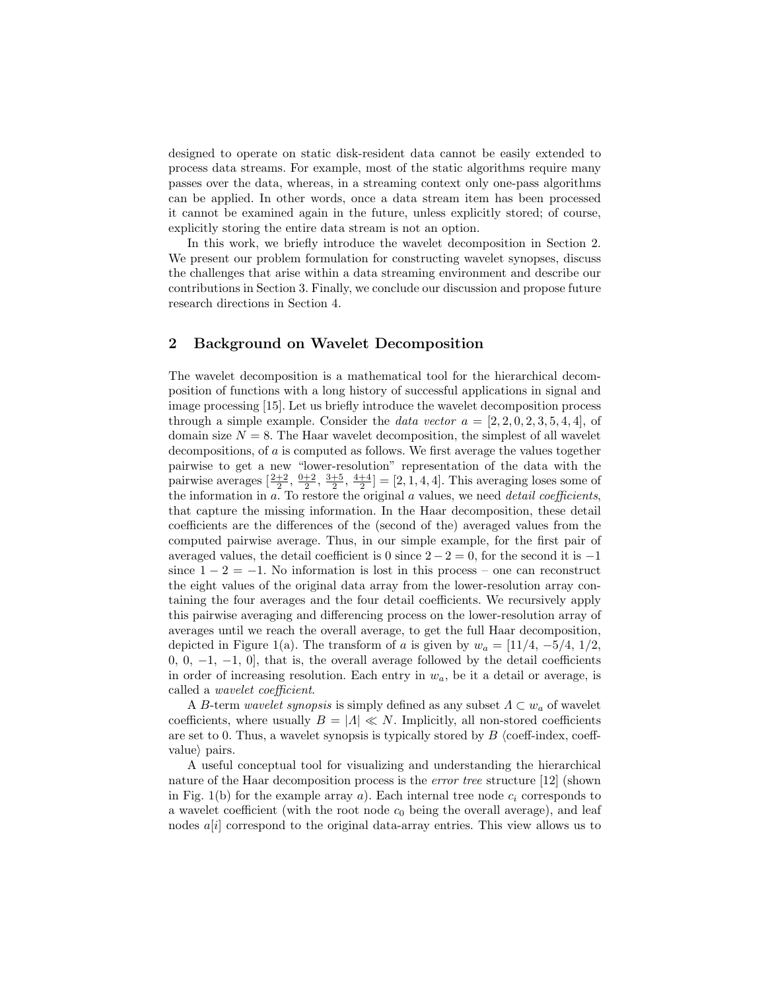designed to operate on static disk-resident data cannot be easily extended to process data streams. For example, most of the static algorithms require many passes over the data, whereas, in a streaming context only one-pass algorithms can be applied. In other words, once a data stream item has been processed it cannot be examined again in the future, unless explicitly stored; of course, explicitly storing the entire data stream is not an option.

In this work, we briefly introduce the wavelet decomposition in Section 2. We present our problem formulation for constructing wavelet synopses, discuss the challenges that arise within a data streaming environment and describe our contributions in Section 3. Finally, we conclude our discussion and propose future research directions in Section 4.

## 2 Background on Wavelet Decomposition

The wavelet decomposition is a mathematical tool for the hierarchical decomposition of functions with a long history of successful applications in signal and image processing [15]. Let us briefly introduce the wavelet decomposition process through a simple example. Consider the *data vector*  $a = [2, 2, 0, 2, 3, 5, 4, 4]$ , of domain size  $N = 8$ . The Haar wavelet decomposition, the simplest of all wavelet decompositions, of a is computed as follows. We first average the values together pairwise to get a new "lower-resolution" representation of the data with the pairwise averages  $[\frac{2+2}{2}, \frac{0+2}{2}, \frac{3+5}{2}, \frac{4+4}{2}] = [2, 1, 4, 4]$ . This averaging loses some of the information in  $a$ . To restore the original  $a$  values, we need  $\text{detail coefficients}$ , that capture the missing information. In the Haar decomposition, these detail coefficients are the differences of the (second of the) averaged values from the computed pairwise average. Thus, in our simple example, for the first pair of averaged values, the detail coefficient is 0 since  $2 - 2 = 0$ , for the second it is  $-1$ since  $1 - 2 = -1$ . No information is lost in this process – one can reconstruct the eight values of the original data array from the lower-resolution array containing the four averages and the four detail coefficients. We recursively apply this pairwise averaging and differencing process on the lower-resolution array of averages until we reach the overall average, to get the full Haar decomposition, depicted in Figure 1(a). The transform of a is given by  $w_a = \left[\frac{11}{4}, -\frac{5}{4}, \frac{1}{2}, \ldots \right]$ 0, 0,  $-1$ ,  $-1$ , 0, that is, the overall average followed by the detail coefficients in order of increasing resolution. Each entry in  $w_a$ , be it a detail or average, is called a wavelet coefficient.

A B-term wavelet synopsis is simply defined as any subset  $\Lambda \subset w_a$  of wavelet coefficients, where usually  $B = |A| \ll N$ . Implicitly, all non-stored coefficients are set to 0. Thus, a wavelet synopsis is typically stored by  $B$  (coeff-index, coeffvalue $\rangle$  pairs.

A useful conceptual tool for visualizing and understanding the hierarchical nature of the Haar decomposition process is the error tree structure [12] (shown in Fig. 1(b) for the example array a). Each internal tree node  $c_i$  corresponds to a wavelet coefficient (with the root node  $c_0$  being the overall average), and leaf nodes  $a[i]$  correspond to the original data-array entries. This view allows us to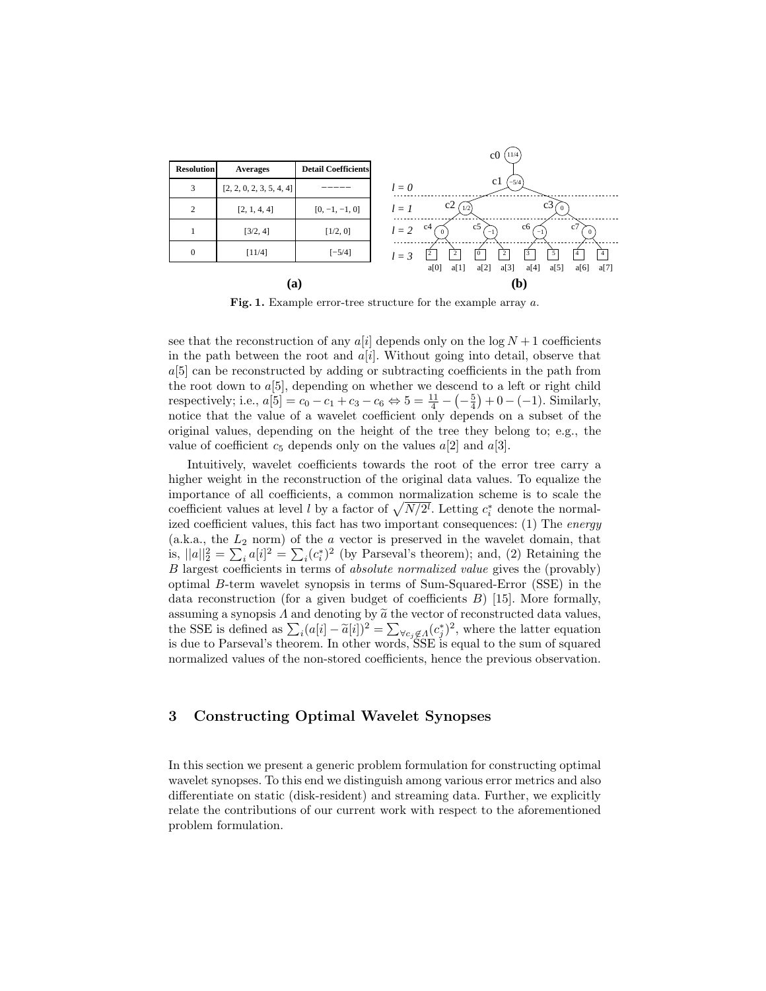

Fig. 1. Example error-tree structure for the example array a.

see that the reconstruction of any  $a[i]$  depends only on the log  $N+1$  coefficients in the path between the root and  $a[i]$ . Without going into detail, observe that  $a[5]$  can be reconstructed by adding or subtracting coefficients in the path from the root down to  $a[5]$ , depending on whether we descend to a left or right child respectively; i.e.,  $a[5] = c_0 - c_1 + c_3 - c_6 \Leftrightarrow 5 = \frac{11}{4} - (-\frac{5}{4}) + 0 - (-1)$ . Similarly, notice that the value of a wavelet coefficient only depends on a subset of the original values, depending on the height of the tree they belong to; e.g., the value of coefficient  $c_5$  depends only on the values  $a[2]$  and  $a[3]$ .

Intuitively, wavelet coefficients towards the root of the error tree carry a higher weight in the reconstruction of the original data values. To equalize the importance of all coefficients, a common normalization scheme is to scale the coefficient values at level l by a factor of  $\sqrt{N/2^l}$ . Letting  $c_i^*$  denote the normalized coefficient values, this fact has two important consequences: (1) The energy  $(a.k.a., the L<sub>2</sub> norm)$  of the *a* vector is preserved in the wavelet domain, that is,  $||a||_2^2 = \sum_i a[i]^2 = \sum_i (c_i^*)^2$  (by Parseval's theorem); and, (2) Retaining the B largest coefficients in terms of absolute normalized value gives the (provably) optimal B-term wavelet synopsis in terms of Sum-Squared-Error (SSE) in the data reconstruction (for a given budget of coefficients B) [15]. More formally, assuming a synopsis  $\Lambda$  and denoting by  $\tilde{a}$  the vector of reconstructed data values, the SSE is defined as  $\sum_i (a[i] - \tilde{a}[i])^2 = \sum_{\forall c_j \notin A} (c_j^*)^2$ , where the latter equation<br>is due to Parsoual's theorem. In other words SSE is equal to the sum of squared is due to Parseval's theorem. In other words, SSE is equal to the sum of squared normalized values of the non-stored coefficients, hence the previous observation.

## 3 Constructing Optimal Wavelet Synopses

In this section we present a generic problem formulation for constructing optimal wavelet synopses. To this end we distinguish among various error metrics and also differentiate on static (disk-resident) and streaming data. Further, we explicitly relate the contributions of our current work with respect to the aforementioned problem formulation.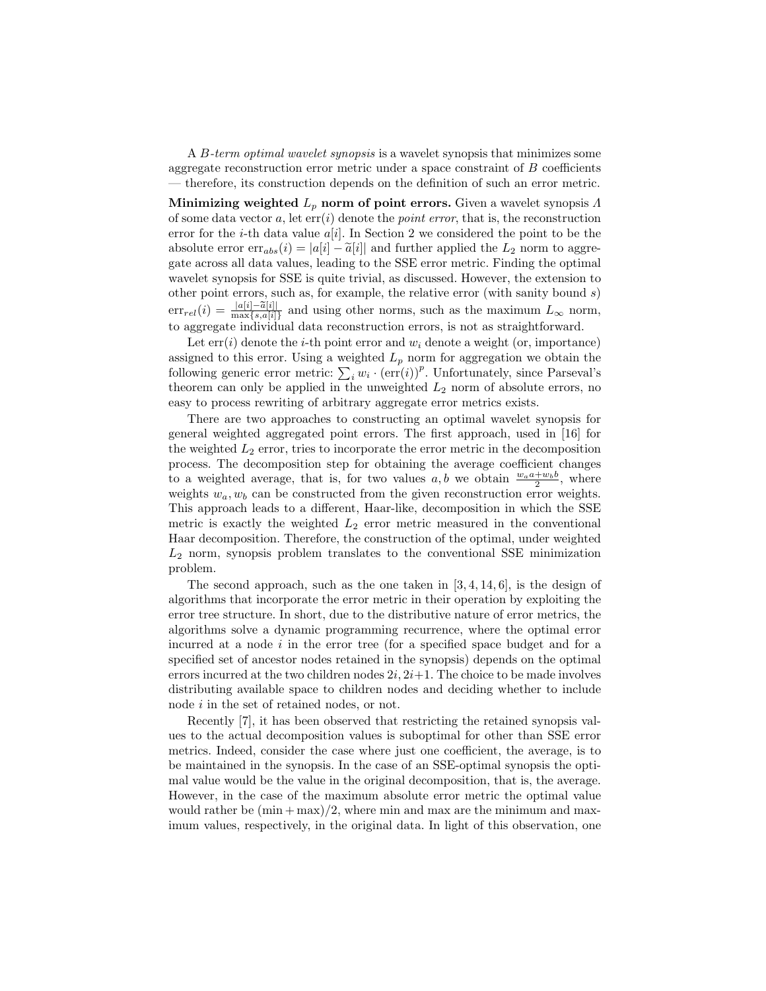A B-term optimal wavelet synopsis is a wavelet synopsis that minimizes some aggregate reconstruction error metric under a space constraint of B coefficients — therefore, its construction depends on the definition of such an error metric.

Minimizing weighted  $L_p$  norm of point errors. Given a wavelet synopsis  $\Lambda$ of some data vector  $a$ , let  $err(i)$  denote the *point error*, that is, the reconstruction error for the *i*-th data value  $a[i]$ . In Section 2 we considered the point to be the absolute error  $err_{abs}(i) = |a[i] - \tilde{a}[i]|$  and further applied the  $L_2$  norm to aggregate across all data values, leading to the SSE error metric. Finding the optimal wavelet synopsis for SSE is quite trivial, as discussed. However, the extension to other point errors, such as, for example, the relative error (with sanity bound s) gate across all data values, leading to the SSE error metric. Finding the optimal wavelet synopsis for SSE is quite trivial, as discussed. However, the extension to other point errors, such as, for example, the relative e to aggregate individual data reconstruction errors, is not as straightforward.

Let  $err(i)$  denote the *i*-th point error and  $w_i$  denote a weight (or, importance) assigned to this error. Using a weighted  $L_p$  norm for aggregation we obtain the following generic error metric:  $\sum_i w_i \cdot (\text{err}(i))^p$ . Unfortunately, since Parseval's theorem can only be applied in the unweighted  $L_2$  norm of absolute errors, no easy to process rewriting of arbitrary aggregate error metrics exists.

There are two approaches to constructing an optimal wavelet synopsis for general weighted aggregated point errors. The first approach, used in [16] for the weighted  $L_2$  error, tries to incorporate the error metric in the decomposition process. The decomposition step for obtaining the average coefficient changes to a weighted average, that is, for two values  $a, b$  we obtain  $\frac{w_a a + w_b b}{2}$ , where weights  $w_a, w_b$  can be constructed from the given reconstruction error weights. This approach leads to a different, Haar-like, decomposition in which the SSE metric is exactly the weighted  $L_2$  error metric measured in the conventional Haar decomposition. Therefore, the construction of the optimal, under weighted  $L_2$  norm, synopsis problem translates to the conventional SSE minimization problem.

The second approach, such as the one taken in [3, 4, 14, 6], is the design of algorithms that incorporate the error metric in their operation by exploiting the error tree structure. In short, due to the distributive nature of error metrics, the algorithms solve a dynamic programming recurrence, where the optimal error incurred at a node  $i$  in the error tree (for a specified space budget and for a specified set of ancestor nodes retained in the synopsis) depends on the optimal errors incurred at the two children nodes  $2i$ ,  $2i+1$ . The choice to be made involves distributing available space to children nodes and deciding whether to include node *i* in the set of retained nodes, or not.

Recently [7], it has been observed that restricting the retained synopsis values to the actual decomposition values is suboptimal for other than SSE error metrics. Indeed, consider the case where just one coefficient, the average, is to be maintained in the synopsis. In the case of an SSE-optimal synopsis the optimal value would be the value in the original decomposition, that is, the average. However, in the case of the maximum absolute error metric the optimal value would rather be  $(\min + \max)/2$ , where min and max are the minimum and maximum values, respectively, in the original data. In light of this observation, one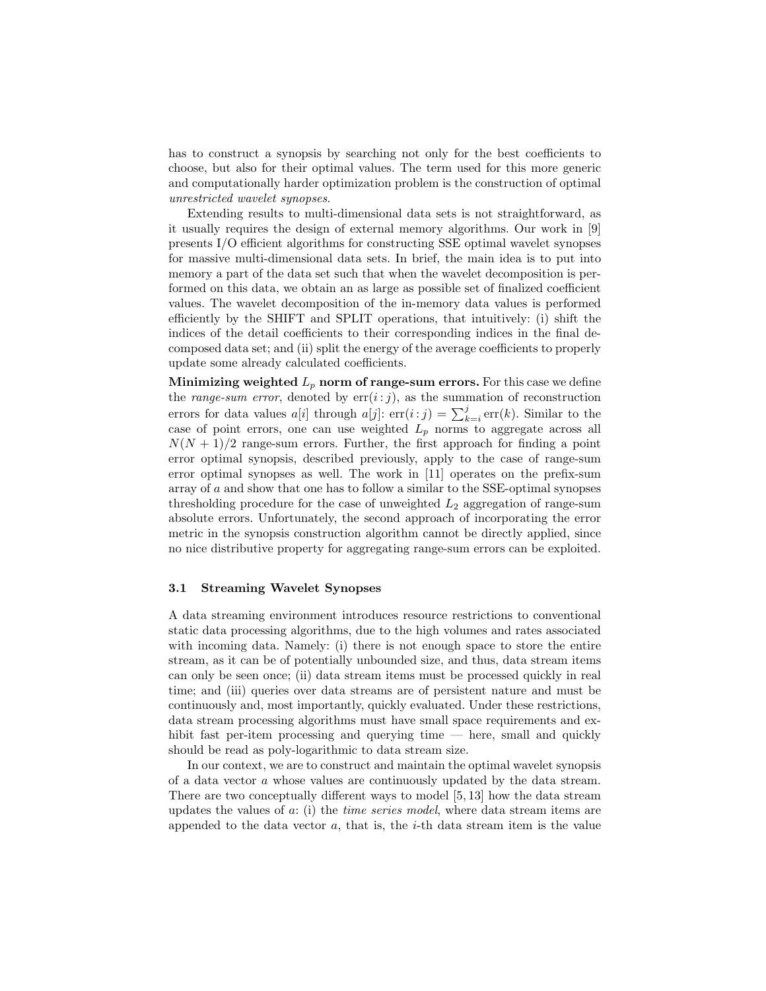has to construct a synopsis by searching not only for the best coefficients to choose, but also for their optimal values. The term used for this more generic and computationally harder optimization problem is the construction of optimal unrestricted wavelet synopses.

Extending results to multi-dimensional data sets is not straightforward, as it usually requires the design of external memory algorithms. Our work in [9] presents I/O efficient algorithms for constructing SSE optimal wavelet synopses for massive multi-dimensional data sets. In brief, the main idea is to put into memory a part of the data set such that when the wavelet decomposition is performed on this data, we obtain an as large as possible set of finalized coefficient values. The wavelet decomposition of the in-memory data values is performed efficiently by the SHIFT and SPLIT operations, that intuitively: (i) shift the indices of the detail coefficients to their corresponding indices in the final decomposed data set; and (ii) split the energy of the average coefficients to properly update some already calculated coefficients.

**Minimizing weighted**  $L_p$  norm of range-sum errors. For this case we define the range-sum error, denoted by  $err(i:j)$ , as the summation of reconstruction errors for data values  $a[i]$  through  $a[j]$ :  $\text{err}(i:j) = \sum_{k=i}^{j} \text{err}(k)$ . Similar to the case of point errors, one can use weighted  $L_p$  norms to aggregate across all  $N(N + 1)/2$  range-sum errors. Further, the first approach for finding a point error optimal synopsis, described previously, apply to the case of range-sum error optimal synopses as well. The work in [11] operates on the prefix-sum array of a and show that one has to follow a similar to the SSE-optimal synopses thresholding procedure for the case of unweighted  $L_2$  aggregation of range-sum absolute errors. Unfortunately, the second approach of incorporating the error metric in the synopsis construction algorithm cannot be directly applied, since no nice distributive property for aggregating range-sum errors can be exploited.

#### 3.1 Streaming Wavelet Synopses

A data streaming environment introduces resource restrictions to conventional static data processing algorithms, due to the high volumes and rates associated with incoming data. Namely: (i) there is not enough space to store the entire stream, as it can be of potentially unbounded size, and thus, data stream items can only be seen once; (ii) data stream items must be processed quickly in real time; and (iii) queries over data streams are of persistent nature and must be continuously and, most importantly, quickly evaluated. Under these restrictions, data stream processing algorithms must have small space requirements and exhibit fast per-item processing and querying time — here, small and quickly should be read as poly-logarithmic to data stream size.

In our context, we are to construct and maintain the optimal wavelet synopsis of a data vector a whose values are continuously updated by the data stream. There are two conceptually different ways to model [5, 13] how the data stream updates the values of  $a$ : (i) the *time series model*, where data stream items are appended to the data vector  $a$ , that is, the *i*-th data stream item is the value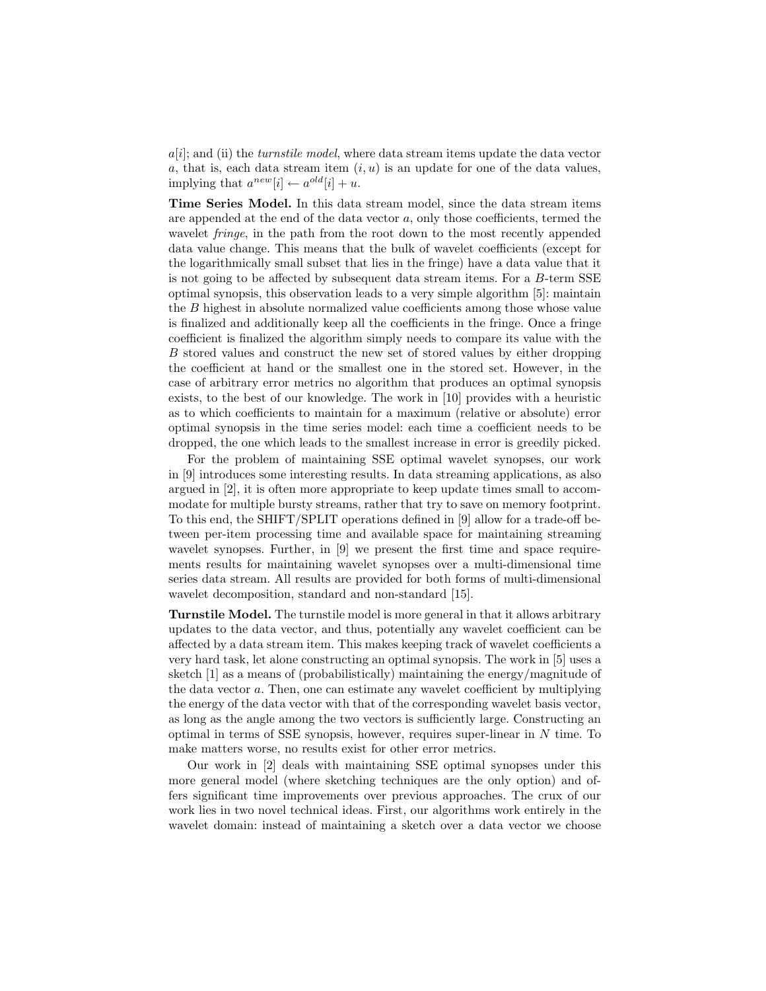$a[i]$ ; and (ii) the *turnstile model*, where data stream items update the data vector a, that is, each data stream item  $(i, u)$  is an update for one of the data values, implying that  $a^{new}[i] \leftarrow a^{old}[i] + u$ .

Time Series Model. In this data stream model, since the data stream items are appended at the end of the data vector  $a$ , only those coefficients, termed the wavelet *fringe*, in the path from the root down to the most recently appended data value change. This means that the bulk of wavelet coefficients (except for the logarithmically small subset that lies in the fringe) have a data value that it is not going to be affected by subsequent data stream items. For a B-term SSE optimal synopsis, this observation leads to a very simple algorithm [5]: maintain the B highest in absolute normalized value coefficients among those whose value is finalized and additionally keep all the coefficients in the fringe. Once a fringe coefficient is finalized the algorithm simply needs to compare its value with the B stored values and construct the new set of stored values by either dropping the coefficient at hand or the smallest one in the stored set. However, in the case of arbitrary error metrics no algorithm that produces an optimal synopsis exists, to the best of our knowledge. The work in [10] provides with a heuristic as to which coefficients to maintain for a maximum (relative or absolute) error optimal synopsis in the time series model: each time a coefficient needs to be dropped, the one which leads to the smallest increase in error is greedily picked.

For the problem of maintaining SSE optimal wavelet synopses, our work in [9] introduces some interesting results. In data streaming applications, as also argued in [2], it is often more appropriate to keep update times small to accommodate for multiple bursty streams, rather that try to save on memory footprint. To this end, the SHIFT/SPLIT operations defined in [9] allow for a trade-off between per-item processing time and available space for maintaining streaming wavelet synopses. Further, in [9] we present the first time and space requirements results for maintaining wavelet synopses over a multi-dimensional time series data stream. All results are provided for both forms of multi-dimensional wavelet decomposition, standard and non-standard [15].

Turnstile Model. The turnstile model is more general in that it allows arbitrary updates to the data vector, and thus, potentially any wavelet coefficient can be affected by a data stream item. This makes keeping track of wavelet coefficients a very hard task, let alone constructing an optimal synopsis. The work in [5] uses a sketch [1] as a means of (probabilistically) maintaining the energy/magnitude of the data vector a. Then, one can estimate any wavelet coefficient by multiplying the energy of the data vector with that of the corresponding wavelet basis vector, as long as the angle among the two vectors is sufficiently large. Constructing an optimal in terms of SSE synopsis, however, requires super-linear in N time. To make matters worse, no results exist for other error metrics.

Our work in [2] deals with maintaining SSE optimal synopses under this more general model (where sketching techniques are the only option) and offers significant time improvements over previous approaches. The crux of our work lies in two novel technical ideas. First, our algorithms work entirely in the wavelet domain: instead of maintaining a sketch over a data vector we choose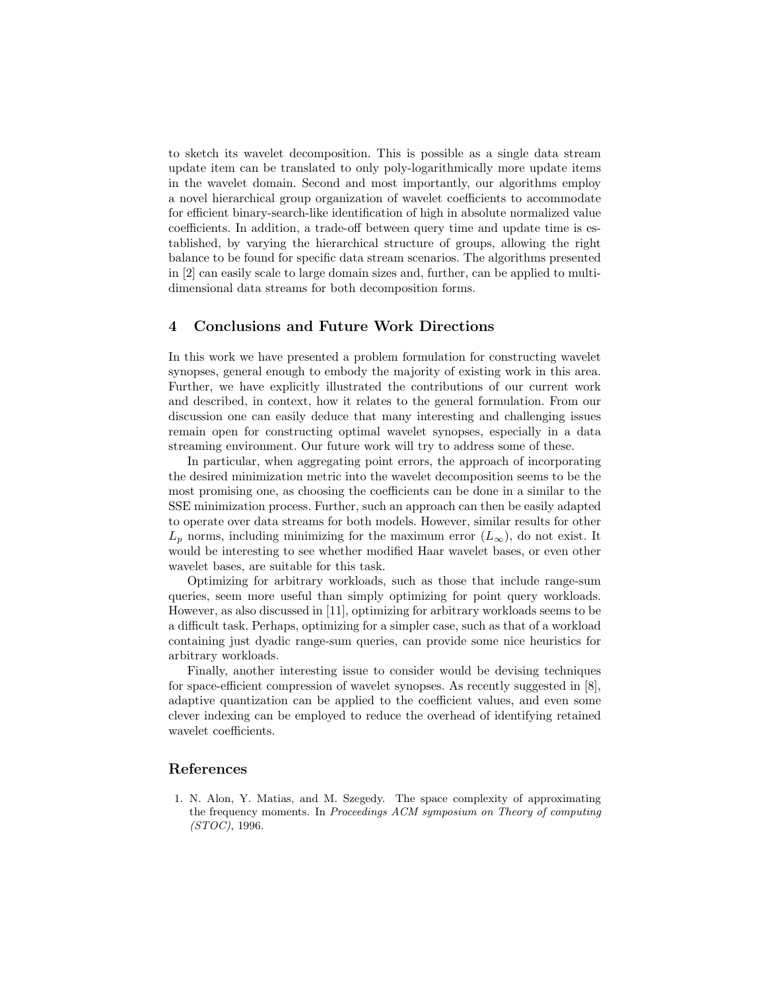to sketch its wavelet decomposition. This is possible as a single data stream update item can be translated to only poly-logarithmically more update items in the wavelet domain. Second and most importantly, our algorithms employ a novel hierarchical group organization of wavelet coefficients to accommodate for efficient binary-search-like identification of high in absolute normalized value coefficients. In addition, a trade-off between query time and update time is established, by varying the hierarchical structure of groups, allowing the right balance to be found for specific data stream scenarios. The algorithms presented in [2] can easily scale to large domain sizes and, further, can be applied to multidimensional data streams for both decomposition forms.

## 4 Conclusions and Future Work Directions

In this work we have presented a problem formulation for constructing wavelet synopses, general enough to embody the majority of existing work in this area. Further, we have explicitly illustrated the contributions of our current work and described, in context, how it relates to the general formulation. From our discussion one can easily deduce that many interesting and challenging issues remain open for constructing optimal wavelet synopses, especially in a data streaming environment. Our future work will try to address some of these.

In particular, when aggregating point errors, the approach of incorporating the desired minimization metric into the wavelet decomposition seems to be the most promising one, as choosing the coefficients can be done in a similar to the SSE minimization process. Further, such an approach can then be easily adapted to operate over data streams for both models. However, similar results for other  $L_p$  norms, including minimizing for the maximum error  $(L_{\infty})$ , do not exist. It would be interesting to see whether modified Haar wavelet bases, or even other wavelet bases, are suitable for this task.

Optimizing for arbitrary workloads, such as those that include range-sum queries, seem more useful than simply optimizing for point query workloads. However, as also discussed in [11], optimizing for arbitrary workloads seems to be a difficult task. Perhaps, optimizing for a simpler case, such as that of a workload containing just dyadic range-sum queries, can provide some nice heuristics for arbitrary workloads.

Finally, another interesting issue to consider would be devising techniques for space-efficient compression of wavelet synopses. As recently suggested in [8], adaptive quantization can be applied to the coefficient values, and even some clever indexing can be employed to reduce the overhead of identifying retained wavelet coefficients.

#### References

1. N. Alon, Y. Matias, and M. Szegedy. The space complexity of approximating the frequency moments. In Proceedings ACM symposium on Theory of computing (STOC), 1996.